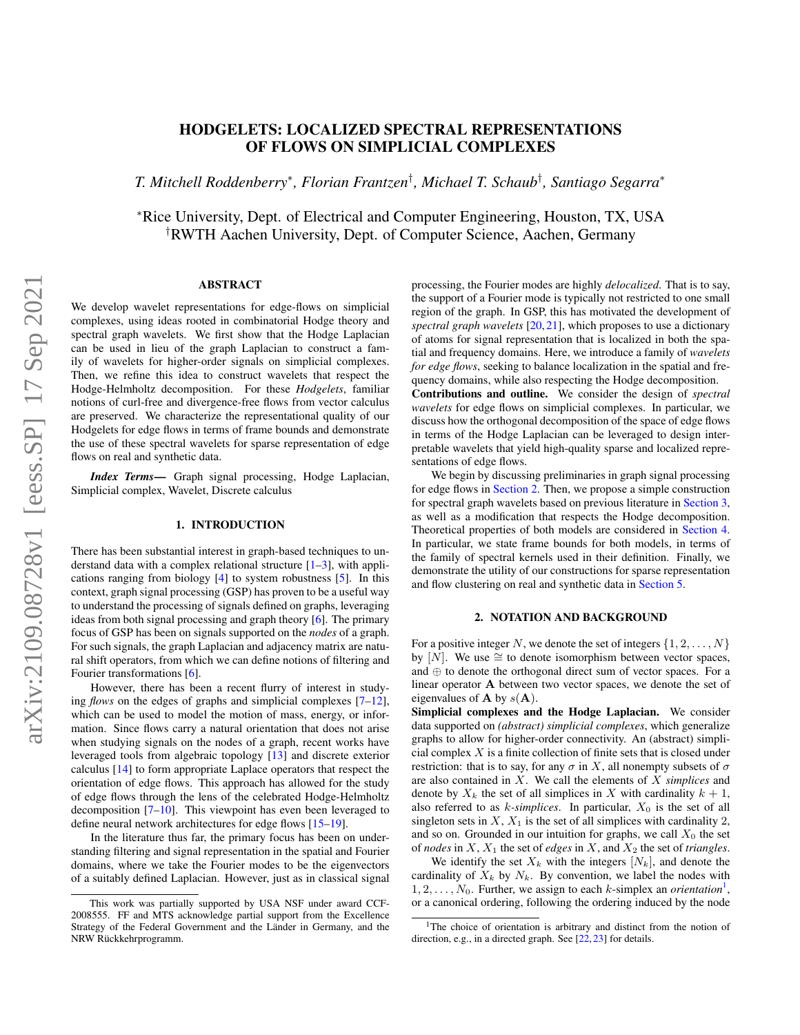# HODGELETS: LOCALIZED SPECTRAL REPRESENTATIONS OF FLOWS ON SIMPLICIAL COMPLEXES

*T. Mitchell Roddenberry*<sup>∗</sup> *, Florian Frantzen*† *, Michael T. Schaub*† *, Santiago Segarra*<sup>∗</sup>

<sup>∗</sup>Rice University, Dept. of Electrical and Computer Engineering, Houston, TX, USA †RWTH Aachen University, Dept. of Computer Science, Aachen, Germany

## ABSTRACT

We develop wavelet representations for edge-flows on simplicial complexes, using ideas rooted in combinatorial Hodge theory and spectral graph wavelets. We first show that the Hodge Laplacian can be used in lieu of the graph Laplacian to construct a family of wavelets for higher-order signals on simplicial complexes. Then, we refine this idea to construct wavelets that respect the Hodge-Helmholtz decomposition. For these *Hodgelets*, familiar notions of curl-free and divergence-free flows from vector calculus are preserved. We characterize the representational quality of our Hodgelets for edge flows in terms of frame bounds and demonstrate the use of these spectral wavelets for sparse representation of edge flows on real and synthetic data.

*Index Terms*— Graph signal processing, Hodge Laplacian, Simplicial complex, Wavelet, Discrete calculus

### 1. INTRODUCTION

There has been substantial interest in graph-based techniques to understand data with a complex relational structure  $[1-3]$  $[1-3]$ , with applications ranging from biology [\[4\]](#page-5-2) to system robustness [\[5\]](#page-5-3). In this context, graph signal processing (GSP) has proven to be a useful way to understand the processing of signals defined on graphs, leveraging ideas from both signal processing and graph theory [\[6\]](#page-5-4). The primary focus of GSP has been on signals supported on the *nodes* of a graph. For such signals, the graph Laplacian and adjacency matrix are natural shift operators, from which we can define notions of filtering and Fourier transformations [\[6\]](#page-5-4).

However, there has been a recent flurry of interest in studying *flows* on the edges of graphs and simplicial complexes [\[7–](#page-5-5)[12\]](#page-5-6), which can be used to model the motion of mass, energy, or information. Since flows carry a natural orientation that does not arise when studying signals on the nodes of a graph, recent works have leveraged tools from algebraic topology [\[13\]](#page-5-7) and discrete exterior calculus [\[14\]](#page-5-8) to form appropriate Laplace operators that respect the orientation of edge flows. This approach has allowed for the study of edge flows through the lens of the celebrated Hodge-Helmholtz decomposition [\[7–](#page-5-5)[10\]](#page-5-9). This viewpoint has even been leveraged to define neural network architectures for edge flows [\[15–](#page-5-10)[19\]](#page-5-11).

In the literature thus far, the primary focus has been on understanding filtering and signal representation in the spatial and Fourier domains, where we take the Fourier modes to be the eigenvectors of a suitably defined Laplacian. However, just as in classical signal

processing, the Fourier modes are highly *delocalized*. That is to say, the support of a Fourier mode is typically not restricted to one small region of the graph. In GSP, this has motivated the development of *spectral graph wavelets* [\[20,](#page-5-12) [21\]](#page-5-13), which proposes to use a dictionary of atoms for signal representation that is localized in both the spatial and frequency domains. Here, we introduce a family of *wavelets for edge flows*, seeking to balance localization in the spatial and frequency domains, while also respecting the Hodge decomposition.

Contributions and outline. We consider the design of *spectral wavelets* for edge flows on simplicial complexes. In particular, we discuss how the orthogonal decomposition of the space of edge flows in terms of the Hodge Laplacian can be leveraged to design interpretable wavelets that yield high-quality sparse and localized representations of edge flows.

We begin by discussing preliminaries in graph signal processing for edge flows in [Section 2.](#page-0-0) Then, we propose a simple construction for spectral graph wavelets based on previous literature in [Section 3,](#page-1-0) as well as a modification that respects the Hodge decomposition. Theoretical properties of both models are considered in [Section 4.](#page-2-0) In particular, we state frame bounds for both models, in terms of the family of spectral kernels used in their definition. Finally, we demonstrate the utility of our constructions for sparse representation and flow clustering on real and synthetic data in [Section 5.](#page-2-1)

### 2. NOTATION AND BACKGROUND

<span id="page-0-0"></span>For a positive integer N, we denote the set of integers  $\{1, 2, \ldots, N\}$ by [N]. We use  $\cong$  to denote isomorphism between vector spaces, and ⊕ to denote the orthogonal direct sum of vector spaces. For a linear operator A between two vector spaces, we denote the set of eigenvalues of **A** by  $s(A)$ .

Simplicial complexes and the Hodge Laplacian. We consider data supported on *(abstract) simplicial complexes*, which generalize graphs to allow for higher-order connectivity. An (abstract) simplicial complex  $X$  is a finite collection of finite sets that is closed under restriction: that is to say, for any  $\sigma$  in X, all nonempty subsets of  $\sigma$ are also contained in X. We call the elements of X *simplices* and denote by  $X_k$  the set of all simplices in X with cardinality  $k + 1$ , also referred to as *k*-simplices. In particular,  $X_0$  is the set of all singleton sets in  $X$ ,  $X_1$  is the set of all simplices with cardinality 2, and so on. Grounded in our intuition for graphs, we call  $X_0$  the set of *nodes* in  $X$ ,  $X_1$  the set of *edges* in  $X$ , and  $X_2$  the set of *triangles*.

We identify the set  $X_k$  with the integers  $[N_k]$ , and denote the cardinality of  $X_k$  by  $N_k$ . By convention, we label the nodes with  $1, 2, \ldots, N_0$  $1, 2, \ldots, N_0$ . Further, we assign to each k-simplex an *orientation*<sup>1</sup>, or a canonical ordering, following the ordering induced by the node

This work was partially supported by USA NSF under award CCF-2008555. FF and MTS acknowledge partial support from the Excellence Strategy of the Federal Government and the Länder in Germany, and the NRW Rückkehrprogramm.

<span id="page-0-1"></span><sup>&</sup>lt;sup>1</sup>The choice of orientation is arbitrary and distinct from the notion of direction, e.g., in a directed graph. See [\[22,](#page-5-14) [23\]](#page-5-15) for details.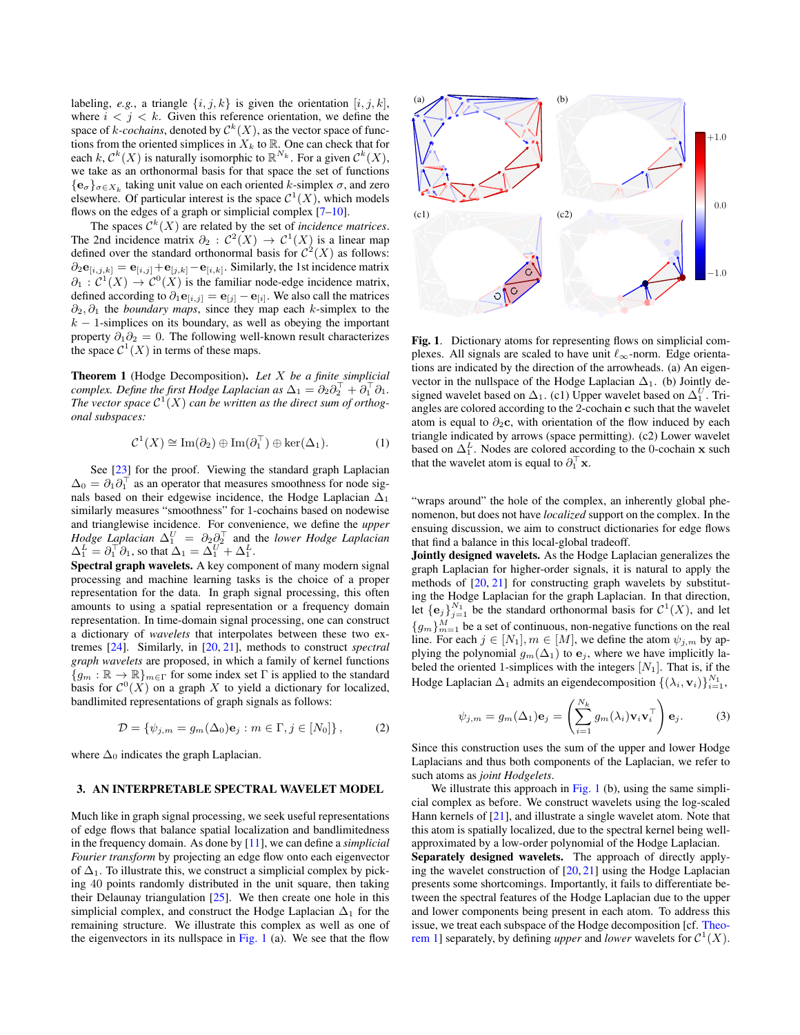labeling, *e.g.*, a triangle  $\{i, j, k\}$  is given the orientation  $[i, j, k]$ , where  $i < j < k$ . Given this reference orientation, we define the space of  $k$ -*cochains*, denoted by  $\mathcal{C}^k(X)$ , as the vector space of functions from the oriented simplices in  $X_k$  to  $\mathbb R$ . One can check that for each  $k, \mathcal{C}^k(X)$  is naturally isomorphic to  $\mathbb{R}^{N_k}$ . For a given  $\mathcal{C}^k(X)$ , we take as an orthonormal basis for that space the set of functions  $\{e_{\sigma}\}_{{\sigma}\in X_k}$  taking unit value on each oriented k-simplex  $\sigma$ , and zero elsewhere. Of particular interest is the space  $\mathcal{C}^1(X)$ , which models flows on the edges of a graph or simplicial complex  $[7-10]$  $[7-10]$ .

The spaces  $\mathcal{C}^k(X)$  are related by the set of *incidence matrices*. The 2nd incidence matrix  $\partial_2$ :  $C^2(X) \to C^1(X)$  is a linear map defined over the standard orthonormal basis for  $\mathcal{C}^2(X)$  as follows:  $\partial_2$ **e**<sub>[i,j,k]</sub> = **e**<sub>[i,j]</sub> + **e**<sub>[j,k]</sub> − **e**<sub>[i,k]</sub>. Similarly, the 1st incidence matrix  $\partial_1: C^1(X) \to C^0(X)$  is the familiar node-edge incidence matrix, defined according to  $\partial_1$ **e**<sub>[i,j]</sub> = **e**<sub>[j]</sub> – **e**<sub>[i</sub>]. We also call the matrices  $\partial_2$ ,  $\partial_1$  the *boundary maps*, since they map each k-simplex to the  $k - 1$ -simplices on its boundary, as well as obeying the important property  $\partial_1 \partial_2 = 0$ . The following well-known result characterizes the space  $C^1(X)$  in terms of these maps.

<span id="page-1-2"></span>Theorem 1 (Hodge Decomposition). *Let* X *be a finite simplicial complex. Define the first Hodge Laplacian as*  $\Delta_1 = \partial_2 \partial_2^\top + \partial_1^\top \partial_1$ . The vector space  $C^1(X)$  can be written as the direct sum of orthog*onal subspaces:*

$$
\mathcal{C}^1(X) \cong \text{Im}(\partial_2) \oplus \text{Im}(\partial_1^\top) \oplus \text{ker}(\Delta_1). \tag{1}
$$

See [\[23\]](#page-5-15) for the proof. Viewing the standard graph Laplacian  $\Delta_0 = \partial_1 \partial_1^\top$  as an operator that measures smoothness for node signals based on their edgewise incidence, the Hodge Laplacian  $\Delta_1$ similarly measures "smoothness" for 1-cochains based on nodewise and trianglewise incidence. For convenience, we define the *upper Hodge Laplacian*  $\Delta_1^U = \partial_2 \partial_2^\top$  and the *lower Hodge Laplacian*  $\Delta_1^L = \partial_1^\top \partial_1$ , so that  $\Delta_1 = \Delta_1^U + \Delta_1^L$ .

Spectral graph wavelets. A key component of many modern signal processing and machine learning tasks is the choice of a proper representation for the data. In graph signal processing, this often amounts to using a spatial representation or a frequency domain representation. In time-domain signal processing, one can construct a dictionary of *wavelets* that interpolates between these two extremes [\[24\]](#page-5-16). Similarly, in [\[20,](#page-5-12) [21\]](#page-5-13), methods to construct *spectral graph wavelets* are proposed, in which a family of kernel functions  ${g_m : \mathbb{R} \to \mathbb{R}}_{m \in \Gamma}$  for some index set  $\Gamma$  is applied to the standard basis for  $\mathcal{C}^0(X)$  on a graph X to yield a dictionary for localized, bandlimited representations of graph signals as follows:

$$
\mathcal{D} = \{ \psi_{j,m} = g_m(\Delta_0) \mathbf{e}_j : m \in \Gamma, j \in [N_0] \},\tag{2}
$$

where  $\Delta_0$  indicates the graph Laplacian.

## <span id="page-1-0"></span>3. AN INTERPRETABLE SPECTRAL WAVELET MODEL

Much like in graph signal processing, we seek useful representations of edge flows that balance spatial localization and bandlimitedness in the frequency domain. As done by [\[11\]](#page-5-17), we can define a *simplicial Fourier transform* by projecting an edge flow onto each eigenvector of  $\Delta_1$ . To illustrate this, we construct a simplicial complex by picking 40 points randomly distributed in the unit square, then taking their Delaunay triangulation [\[25\]](#page-5-18). We then create one hole in this simplicial complex, and construct the Hodge Laplacian  $\Delta_1$  for the remaining structure. We illustrate this complex as well as one of the eigenvectors in its nullspace in [Fig. 1](#page-1-1) (a). We see that the flow



<span id="page-1-1"></span>Fig. 1. Dictionary atoms for representing flows on simplicial complexes. All signals are scaled to have unit  $\ell_{\infty}$ -norm. Edge orientations are indicated by the direction of the arrowheads. (a) An eigenvector in the nullspace of the Hodge Laplacian  $\Delta_1$ . (b) Jointly designed wavelet based on  $\Delta_1$ . (c1) Upper wavelet based on  $\Delta_1^U$ . Triangles are colored according to the 2-cochain c such that the wavelet atom is equal to  $\partial_2$ c, with orientation of the flow induced by each triangle indicated by arrows (space permitting). (c2) Lower wavelet based on  $\Delta_1^L$ . Nodes are colored according to the 0-cochain x such that the wavelet atom is equal to  $\partial_1^\top \mathbf{x}$ .

"wraps around" the hole of the complex, an inherently global phenomenon, but does not have *localized* support on the complex. In the ensuing discussion, we aim to construct dictionaries for edge flows that find a balance in this local-global tradeoff.

Jointly designed wavelets. As the Hodge Laplacian generalizes the graph Laplacian for higher-order signals, it is natural to apply the methods of [\[20,](#page-5-12) [21\]](#page-5-13) for constructing graph wavelets by substituting the Hodge Laplacian for the graph Laplacian. In that direction, let  $\{e_j\}_{j=1}^{N_1}$  be the standard orthonormal basis for  $C^1(X)$ , and let  ${g_m}_{m=1}^M$  be a set of continuous, non-negative functions on the real line. For each  $j \in [N_1], m \in [M]$ , we define the atom  $\psi_{j,m}$  by applying the polynomial  $g_m(\Delta_1)$  to  $\mathbf{e}_j$ , where we have implicitly labeled the oriented 1-simplices with the integers  $[N_1]$ . That is, if the Hodge Laplacian  $\Delta_1$  admits an eigendecomposition  $\{(\lambda_i, \mathbf{v}_i)\}_{i=1}^{N_1}$ ,

<span id="page-1-3"></span>
$$
\psi_{j,m} = g_m(\Delta_1) \mathbf{e}_j = \left( \sum_{i=1}^{N_k} g_m(\lambda_i) \mathbf{v}_i \mathbf{v}_i^\top \right) \mathbf{e}_j.
$$
 (3)

Since this construction uses the sum of the upper and lower Hodge Laplacians and thus both components of the Laplacian, we refer to such atoms as *joint Hodgelets*.

We illustrate this approach in Fig.  $1$  (b), using the same simplicial complex as before. We construct wavelets using the log-scaled Hann kernels of [\[21\]](#page-5-13), and illustrate a single wavelet atom. Note that this atom is spatially localized, due to the spectral kernel being wellapproximated by a low-order polynomial of the Hodge Laplacian. Separately designed wavelets. The approach of directly applying the wavelet construction of [\[20,](#page-5-12) [21\]](#page-5-13) using the Hodge Laplacian presents some shortcomings. Importantly, it fails to differentiate be-

tween the spectral features of the Hodge Laplacian due to the upper and lower components being present in each atom. To address this issue, we treat each subspace of the Hodge decomposition [cf. [Theo](#page-1-2)[rem 1\]](#page-1-2) separately, by defining *upper* and *lower* wavelets for  $C^1(X)$ .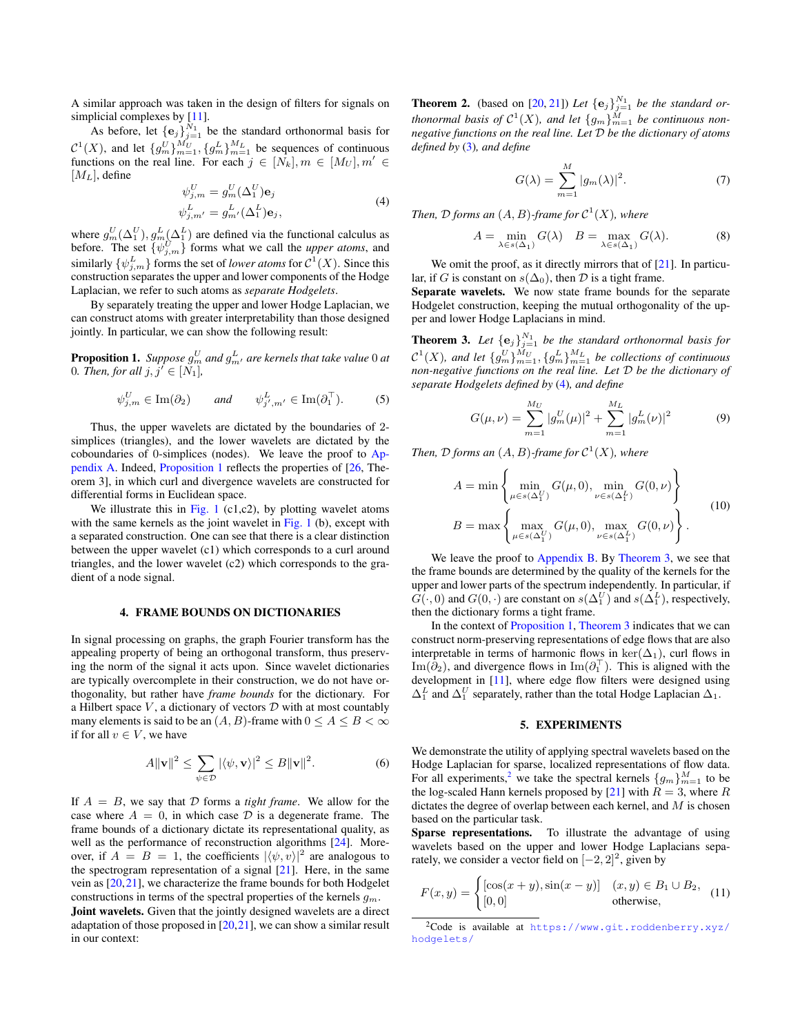A similar approach was taken in the design of filters for signals on simplicial complexes by [\[11\]](#page-5-17).

As before, let  $\{\mathbf e_j\}_{j=1}^{N_1}$  be the standard orthonormal basis for  $\mathcal{C}^1(X)$ , and let  $\{g_m^U\}_{m=1}^{M_U}, \{g_m^L\}_{m=1}^{M_L}$  be sequences of continuous functions on the real line. For each  $j \in [N_k]$ ,  $m \in [M_U]$ ,  $m' \in$  $[M_L]$ , define

<span id="page-2-3"></span>
$$
\psi_{j,m}^U = g_m^U(\Delta_1^U)\mathbf{e}_j
$$
  
\n
$$
\psi_{j,m'}^L = g_{m'}^L(\Delta_1^L)\mathbf{e}_j,
$$
\n(4)

where  $g_m^U(\Delta_1^U), g_m^L(\Delta_1^L)$  are defined via the functional calculus as before. The set  $\{\psi_{j,m}^U\}$  forms what we call the *upper atoms*, and similarly  $\{\psi_{j,m}^L\}$  forms the set of *lower atoms* for  $C^1(X)$ . Since this construction separates the upper and lower components of the Hodge Laplacian, we refer to such atoms as *separate Hodgelets*.

By separately treating the upper and lower Hodge Laplacian, we can construct atoms with greater interpretability than those designed jointly. In particular, we can show the following result:

<span id="page-2-2"></span>**Proposition 1.** Suppose  $g_m^U$  and  $g_{m'}^L$  are kernels that take value 0 at 0*. Then, for all*  $j, j' \in [N_1]$ *,* 

$$
\psi_{j,m}^U \in \text{Im}(\partial_2) \qquad \text{and} \qquad \psi_{j',m'}^L \in \text{Im}(\partial_1^\top). \tag{5}
$$

Thus, the upper wavelets are dictated by the boundaries of 2 simplices (triangles), and the lower wavelets are dictated by the coboundaries of 0-simplices (nodes). We leave the proof to [Ap](#page-4-0)[pendix A.](#page-4-0) Indeed, [Proposition 1](#page-2-2) reflects the properties of [\[26,](#page-5-19) Theorem 3], in which curl and divergence wavelets are constructed for differential forms in Euclidean space.

We illustrate this in [Fig. 1](#page-1-1) (c1,c2), by plotting wavelet atoms with the same kernels as the joint wavelet in [Fig. 1](#page-1-1) (b), except with a separated construction. One can see that there is a clear distinction between the upper wavelet (c1) which corresponds to a curl around triangles, and the lower wavelet (c2) which corresponds to the gradient of a node signal.

#### 4. FRAME BOUNDS ON DICTIONARIES

<span id="page-2-0"></span>In signal processing on graphs, the graph Fourier transform has the appealing property of being an orthogonal transform, thus preserving the norm of the signal it acts upon. Since wavelet dictionaries are typically overcomplete in their construction, we do not have orthogonality, but rather have *frame bounds* for the dictionary. For a Hilbert space  $V$ , a dictionary of vectors  $D$  with at most countably many elements is said to be an  $(A, B)$ -frame with  $0 \le A \le B < \infty$ if for all  $v \in V$ , we have

$$
A\|\mathbf{v}\|^2 \le \sum_{\psi \in \mathcal{D}} |\langle \psi, \mathbf{v} \rangle|^2 \le B\|\mathbf{v}\|^2. \tag{6}
$$

If  $A = B$ , we say that  $D$  forms a *tight frame*. We allow for the case where  $A = 0$ , in which case  $D$  is a degenerate frame. The frame bounds of a dictionary dictate its representational quality, as well as the performance of reconstruction algorithms [\[24\]](#page-5-16). Moreover, if  $A = B = 1$ , the coefficients  $|\langle \psi, v \rangle|^2$  are analogous to the spectrogram representation of a signal [\[21\]](#page-5-13). Here, in the same vein as [\[20,](#page-5-12)[21\]](#page-5-13), we characterize the frame bounds for both Hodgelet constructions in terms of the spectral properties of the kernels  $g_m$ . Joint wavelets. Given that the jointly designed wavelets are a direct adaptation of those proposed in  $[20,21]$  $[20,21]$ , we can show a similar result in our context:

**Theorem 2.** (based on [\[20,](#page-5-12) [21\]](#page-5-13)) Let  $\{e_j\}_{j=1}^{N_1}$  be the standard orthonormal basis of  $C^1(X)$ , and let  $\{g_m\}_{m=1}^M$  be continuous non*negative functions on the real line. Let* D *be the dictionary of atoms defined by* [\(3\)](#page-1-3)*, and define*

$$
G(\lambda) = \sum_{m=1}^{M} |g_m(\lambda)|^2.
$$
 (7)

*Then,*  $D$  *forms an*  $(A, B)$ -*frame for*  $C^1(X)$ *, where* 

$$
A = \min_{\lambda \in s(\Delta_1)} G(\lambda) \quad B = \max_{\lambda \in s(\Delta_1)} G(\lambda). \tag{8}
$$

We omit the proof, as it directly mirrors that of [\[21\]](#page-5-13). In particular, if G is constant on  $s(\Delta_0)$ , then  $\mathcal D$  is a tight frame.

Separate wavelets. We now state frame bounds for the separate Hodgelet construction, keeping the mutual orthogonality of the upper and lower Hodge Laplacians in mind.

<span id="page-2-4"></span>**Theorem 3.** Let  $\{\mathbf{e}_j\}_{j=1}^{N_1}$  be the standard orthonormal basis for  $\mathcal{C}^1(X)$ , and let  $\{g_m^U\}_{m=1}^{M_U}, \{g_m^L\}_{m=1}^{M_L}$  be collections of continuous *non-negative functions on the real line. Let* D *be the dictionary of separate Hodgelets defined by* [\(4\)](#page-2-3)*, and define*

$$
G(\mu, \nu) = \sum_{m=1}^{M_U} |g_m^U(\mu)|^2 + \sum_{m=1}^{M_L} |g_m^L(\nu)|^2
$$
 (9)

*Then,*  $D$  *forms an*  $(A, B)$ -*frame for*  $C^1(X)$ *, where* 

<span id="page-2-6"></span>
$$
A = \min \left\{ \min_{\mu \in s(\Delta_1^U)} G(\mu, 0), \min_{\nu \in s(\Delta_1^L)} G(0, \nu) \right\}
$$
  
\n
$$
B = \max \left\{ \max_{\mu \in s(\Delta_1^U)} G(\mu, 0), \max_{\nu \in s(\Delta_1^L)} G(0, \nu) \right\}.
$$
\n(10)

We leave the proof to [Appendix B.](#page-4-1) By [Theorem 3,](#page-2-4) we see that the frame bounds are determined by the quality of the kernels for the upper and lower parts of the spectrum independently. In particular, if  $G(\cdot,0)$  and  $G(0,\cdot)$  are constant on  $s(\Delta_1^U)$  and  $s(\Delta_1^L)$ , respectively, then the dictionary forms a tight frame.

In the context of [Proposition 1,](#page-2-2) [Theorem 3](#page-2-4) indicates that we can construct norm-preserving representations of edge flows that are also interpretable in terms of harmonic flows in ker( $\Delta_1$ ), curl flows in Im( $\partial_2$ ), and divergence flows in Im( $\partial_1^{\top}$ ). This is aligned with the development in [\[11\]](#page-5-17), where edge flow filters were designed using  $\Delta_1^L$  and  $\Delta_1^U$  separately, rather than the total Hodge Laplacian  $\Delta_1$ .

#### 5. EXPERIMENTS

<span id="page-2-1"></span>We demonstrate the utility of applying spectral wavelets based on the Hodge Laplacian for sparse, localized representations of flow data. For all experiments,<sup>[2](#page-2-5)</sup> we take the spectral kernels  $\{g_m\}_{m=1}^M$  to be the log-scaled Hann kernels proposed by [\[21\]](#page-5-13) with  $R = 3$ , where R dictates the degree of overlap between each kernel, and  $M$  is chosen based on the particular task.

Sparse representations. To illustrate the advantage of using wavelets based on the upper and lower Hodge Laplacians separately, we consider a vector field on  $[-2, 2]^2$ , given by

$$
F(x,y) = \begin{cases} [\cos(x+y),\sin(x-y)] & (x,y) \in B_1 \cup B_2, \\ [0,0] & \text{otherwise,} \end{cases}
$$
 (11)

<span id="page-2-5"></span><sup>2</sup>Code is available at [https://www.git.roddenberry.xyz/](https://www.git.roddenberry.xyz/hodgelets/) [hodgelets/](https://www.git.roddenberry.xyz/hodgelets/)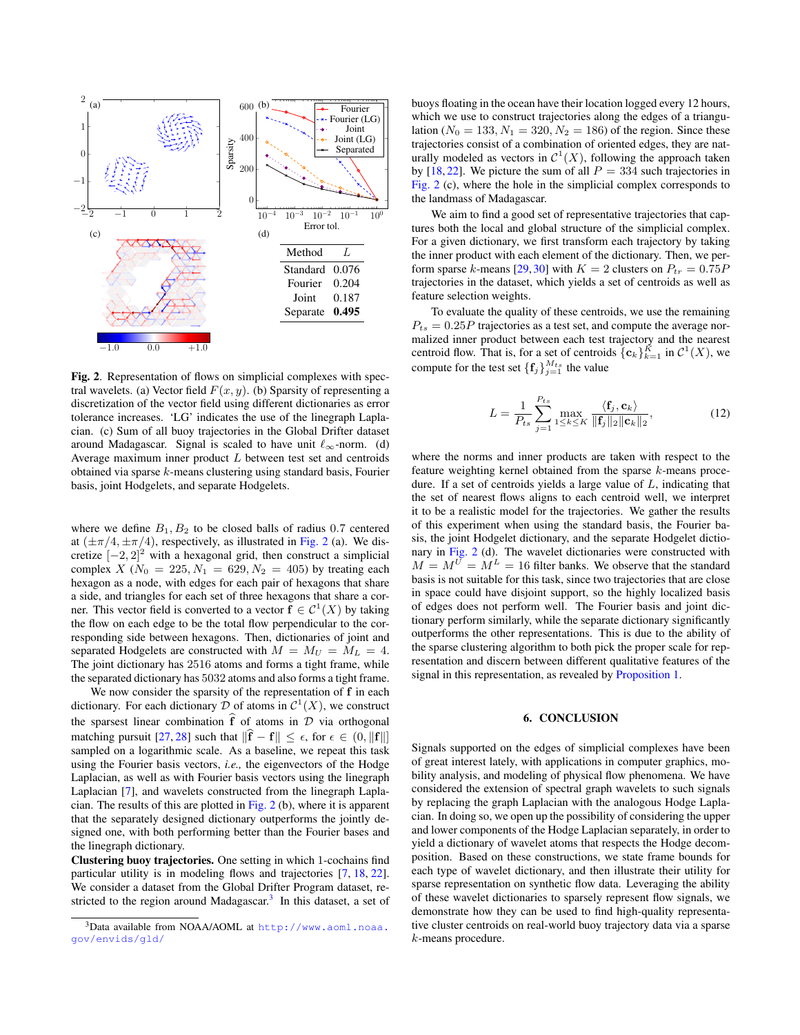

<span id="page-3-0"></span>Fig. 2. Representation of flows on simplicial complexes with spectral wavelets. (a) Vector field  $F(x, y)$ . (b) Sparsity of representing a discretization of the vector field using different dictionaries as error tolerance increases. 'LG' indicates the use of the linegraph Laplacian. (c) Sum of all buoy trajectories in the Global Drifter dataset around Madagascar. Signal is scaled to have unit  $\ell_{\infty}$ -norm. (d) Average maximum inner product  $L$  between test set and centroids obtained via sparse k-means clustering using standard basis, Fourier basis, joint Hodgelets, and separate Hodgelets.

where we define  $B_1, B_2$  to be closed balls of radius 0.7 centered at  $(\pm \pi/4, \pm \pi/4)$ , respectively, as illustrated in [Fig. 2](#page-3-0) (a). We discretize  $[-2, 2]^2$  with a hexagonal grid, then construct a simplicial complex X ( $N_0 = 225, N_1 = 629, N_2 = 405$ ) by treating each hexagon as a node, with edges for each pair of hexagons that share a side, and triangles for each set of three hexagons that share a corner. This vector field is converted to a vector  $\mathbf{f} \in \mathcal{C}^1(X)$  by taking the flow on each edge to be the total flow perpendicular to the corresponding side between hexagons. Then, dictionaries of joint and separated Hodgelets are constructed with  $M = M_U = M_L = 4$ . The joint dictionary has 2516 atoms and forms a tight frame, while the separated dictionary has 5032 atoms and also forms a tight frame.

We now consider the sparsity of the representation of f in each dictionary. For each dictionary  $\mathcal D$  of atoms in  $\mathcal C^1(X)$ , we construct the sparsest linear combination  $\hat{f}$  of atoms in D via orthogonal matching pursuit [\[27,](#page-5-20) [28\]](#page-5-21) such that  $\|\hat{\mathbf{f}} - \mathbf{f}\| \leq \epsilon$ , for  $\epsilon \in (0, \|\mathbf{f}\|]$ sampled on a logarithmic scale. As a baseline, we repeat this task using the Fourier basis vectors, *i.e.,* the eigenvectors of the Hodge Laplacian, as well as with Fourier basis vectors using the linegraph Laplacian [\[7\]](#page-5-5), and wavelets constructed from the linegraph Laplacian. The results of this are plotted in [Fig. 2](#page-3-0) (b), where it is apparent that the separately designed dictionary outperforms the jointly designed one, with both performing better than the Fourier bases and the linegraph dictionary.

Clustering buoy trajectories. One setting in which 1-cochains find particular utility is in modeling flows and trajectories [\[7,](#page-5-5) [18,](#page-5-22) [22\]](#page-5-14). We consider a dataset from the Global Drifter Program dataset, re-stricted to the region around Madagascar.<sup>[3](#page-3-1)</sup> In this dataset, a set of buoys floating in the ocean have their location logged every 12 hours, which we use to construct trajectories along the edges of a triangulation ( $N_0 = 133, N_1 = 320, N_2 = 186$ ) of the region. Since these trajectories consist of a combination of oriented edges, they are naturally modeled as vectors in  $C^1(X)$ , following the approach taken by [\[18,](#page-5-22) [22\]](#page-5-14). We picture the sum of all  $P = 334$  such trajectories in [Fig. 2](#page-3-0) (c), where the hole in the simplicial complex corresponds to the landmass of Madagascar.

We aim to find a good set of representative trajectories that captures both the local and global structure of the simplicial complex. For a given dictionary, we first transform each trajectory by taking the inner product with each element of the dictionary. Then, we per-form sparse k-means [\[29,](#page-5-23) [30\]](#page-5-24) with  $K = 2$  clusters on  $P_{tr} = 0.75P$ trajectories in the dataset, which yields a set of centroids as well as feature selection weights.

To evaluate the quality of these centroids, we use the remaining  $P_{ts} = 0.25P$  trajectories as a test set, and compute the average normalized inner product between each test trajectory and the nearest centroid flow. That is, for a set of centroids  $\{c_k\}_{k=1}^K$  in  $\mathcal{C}^1(X)$ , we compute for the test set  $\{\mathbf{f}_j\}_{j=1}^{M_{ts}}$  the value

$$
L = \frac{1}{P_{ts}} \sum_{j=1}^{P_{ts}} \max_{1 \le k \le K} \frac{\langle \mathbf{f}_j, \mathbf{c}_k \rangle}{\|\mathbf{f}_j\|_2 \|\mathbf{c}_k\|_2},
$$
(12)

where the norms and inner products are taken with respect to the feature weighting kernel obtained from the sparse k-means procedure. If a set of centroids yields a large value of  $L$ , indicating that the set of nearest flows aligns to each centroid well, we interpret it to be a realistic model for the trajectories. We gather the results of this experiment when using the standard basis, the Fourier basis, the joint Hodgelet dictionary, and the separate Hodgelet dictionary in [Fig. 2](#page-3-0) (d). The wavelet dictionaries were constructed with  $M = M^U = M^L = 16$  filter banks. We observe that the standard basis is not suitable for this task, since two trajectories that are close in space could have disjoint support, so the highly localized basis of edges does not perform well. The Fourier basis and joint dictionary perform similarly, while the separate dictionary significantly outperforms the other representations. This is due to the ability of the sparse clustering algorithm to both pick the proper scale for representation and discern between different qualitative features of the signal in this representation, as revealed by [Proposition 1.](#page-2-2)

## 6. CONCLUSION

Signals supported on the edges of simplicial complexes have been of great interest lately, with applications in computer graphics, mobility analysis, and modeling of physical flow phenomena. We have considered the extension of spectral graph wavelets to such signals by replacing the graph Laplacian with the analogous Hodge Laplacian. In doing so, we open up the possibility of considering the upper and lower components of the Hodge Laplacian separately, in order to yield a dictionary of wavelet atoms that respects the Hodge decomposition. Based on these constructions, we state frame bounds for each type of wavelet dictionary, and then illustrate their utility for sparse representation on synthetic flow data. Leveraging the ability of these wavelet dictionaries to sparsely represent flow signals, we demonstrate how they can be used to find high-quality representative cluster centroids on real-world buoy trajectory data via a sparse k-means procedure.

<span id="page-3-1"></span><sup>3</sup>Data available from NOAA/AOML at [http://www.aoml.noaa.](http://www.aoml.noaa.gov/envids/gld/) [gov/envids/gld/](http://www.aoml.noaa.gov/envids/gld/)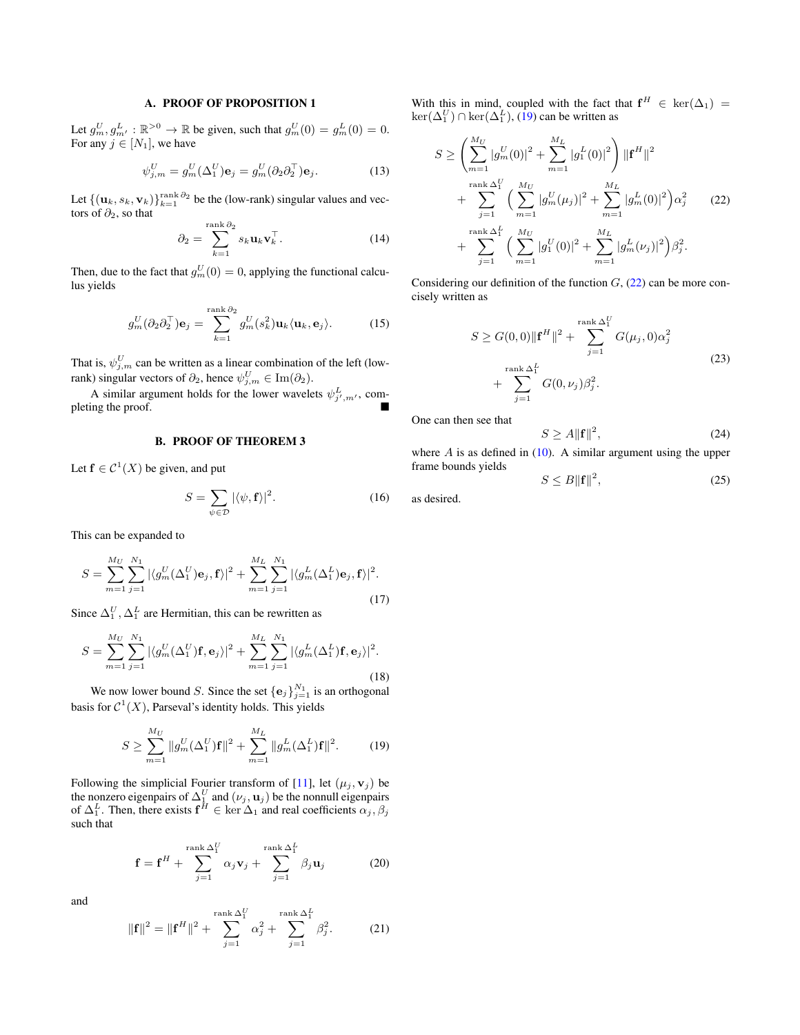## A. PROOF OF PROPOSITION 1

<span id="page-4-0"></span>Let  $g_m^U, g_{m'}^L : \mathbb{R}^{>0} \to \mathbb{R}$  be given, such that  $g_m^U(0) = g_m^L(0) = 0$ . For any  $j \in [N_1]$ , we have

$$
\psi_{j,m}^U = g_m^U(\Delta_1^U)\mathbf{e}_j = g_m^U(\partial_2\partial_2^{\top})\mathbf{e}_j.
$$
 (13)

Let  $\{(\mathbf{u}_k, s_k, \mathbf{v}_k)\}_{k=1}^{\text{rank }\partial_2}$  be the (low-rank) singular values and vectors of  $\partial_2$ , so that

$$
\partial_2 = \sum_{k=1}^{\text{rank}\,\partial_2} s_k \mathbf{u}_k \mathbf{v}_k^\top.
$$
 (14)

Then, due to the fact that  $g_m^U(0) = 0$ , applying the functional calculus yields

$$
g_m^U(\partial_2 \partial_2^{\top}) \mathbf{e}_j = \sum_{k=1}^{\text{rank}\,\partial_2} g_m^U(s_k^2) \mathbf{u}_k \langle \mathbf{u}_k, \mathbf{e}_j \rangle. \tag{15}
$$

That is,  $\psi_{j,m}^U$  can be written as a linear combination of the left (lowrank) singular vectors of  $\partial_2$ , hence  $\psi_{j,m}^U \in \text{Im}(\partial_2)$ .

A similar argument holds for the lower wavelets  $\psi_{j',m'}^L$ , completing the proof.

## B. PROOF OF THEOREM 3

<span id="page-4-1"></span>Let  $f \in C^1(X)$  be given, and put

$$
S = \sum_{\psi \in \mathcal{D}} |\langle \psi, \mathbf{f} \rangle|^2. \tag{16}
$$

This can be expanded to

$$
S = \sum_{m=1}^{M_U} \sum_{j=1}^{N_1} |\langle g_m^U(\Delta_1^U) \mathbf{e}_j, \mathbf{f} \rangle|^2 + \sum_{m=1}^{M_L} \sum_{j=1}^{N_1} |\langle g_m^L(\Delta_1^L) \mathbf{e}_j, \mathbf{f} \rangle|^2.
$$
\n(17)

Since  $\Delta_1^U$ ,  $\Delta_1^L$  are Hermitian, this can be rewritten as

$$
S = \sum_{m=1}^{M_U} \sum_{j=1}^{N_1} |\langle g_m^U(\Delta_1^U) \mathbf{f}, \mathbf{e}_j \rangle|^2 + \sum_{m=1}^{M_L} \sum_{j=1}^{N_1} |\langle g_m^L(\Delta_1^L) \mathbf{f}, \mathbf{e}_j \rangle|^2.
$$
\n(18)

We now lower bound S. Since the set  $\{e_j\}_{j=1}^{N_1}$  is an orthogonal basis for  $C^1(X)$ , Parseval's identity holds. This yields

<span id="page-4-2"></span>
$$
S \ge \sum_{m=1}^{M_U} \|g_m^U(\Delta_1^U)\mathbf{f}\|^2 + \sum_{m=1}^{M_L} \|g_m^L(\Delta_1^L)\mathbf{f}\|^2. \tag{19}
$$

Following the simplicial Fourier transform of [\[11\]](#page-5-17), let  $(\mu_j, \mathbf{v}_j)$  be the nonzero eigenpairs of  $\Delta_1^U$  and  $(\nu_j, \mathbf{u}_j)$  be the nonnull eigenpairs of  $\Delta_1^L$ . Then, there exists  $f^H \in \text{ker } \Delta_1$  and real coefficients  $\alpha_j, \beta_j$ such that

$$
\mathbf{f} = \mathbf{f}^H + \sum_{j=1}^{\text{rank }\Delta_1^U} \alpha_j \mathbf{v}_j + \sum_{j=1}^{\text{rank }\Delta_1^L} \beta_j \mathbf{u}_j \tag{20}
$$

and

$$
\|\mathbf{f}\|^2 = \|\mathbf{f}^H\|^2 + \sum_{j=1}^{\text{rank }\Delta_1^U} \alpha_j^2 + \sum_{j=1}^{\text{rank }\Delta_1^L} \beta_j^2. \tag{21}
$$

With this in mind, coupled with the fact that  $f^H \in \text{ker}(\Delta_1)$  $\ker(\Delta_1^U) \cap \ker(\Delta_1^L)$ , [\(19\)](#page-4-2) can be written as

<span id="page-4-3"></span>
$$
S \geq \left(\sum_{m=1}^{M_U} |g_m^U(0)|^2 + \sum_{m=1}^{M_L} |g_1^L(0)|^2\right) \|\mathbf{f}^H\|^2
$$
  
+ 
$$
\sum_{j=1}^{\text{rank }\Delta_1^U} \left(\sum_{m=1}^{M_U} |g_m^U(\mu_j)|^2 + \sum_{m=1}^{M_L} |g_m^L(0)|^2\right) \alpha_j^2
$$
  
+ 
$$
\sum_{j=1}^{\text{rank }\Delta_1^L} \left(\sum_{m=1}^{M_U} |g_1^U(0)|^2 + \sum_{m=1}^{M_L} |g_m^L(\nu_j)|^2\right) \beta_j^2.
$$
 (22)

Considering our definition of the function  $G$ ,  $(22)$  can be more concisely written as

$$
S \ge G(0,0) \|\mathbf{f}^{H}\|^{2} + \sum_{j=1}^{\text{rank }\Delta_{1}^{U}} G(\mu_{j},0)\alpha_{j}^{2} + \sum_{j=1}^{\text{rank }\Delta_{1}^{U}} G(0,\nu_{j})\beta_{j}^{2}.
$$
\n(23)

One can then see that

$$
S \ge A \|\mathbf{f}\|^2,\tag{24}
$$

where  $A$  is as defined in [\(10\)](#page-2-6). A similar argument using the upper frame bounds yields

$$
S \le B \|\mathbf{f}\|^2,\tag{25}
$$

as desired.